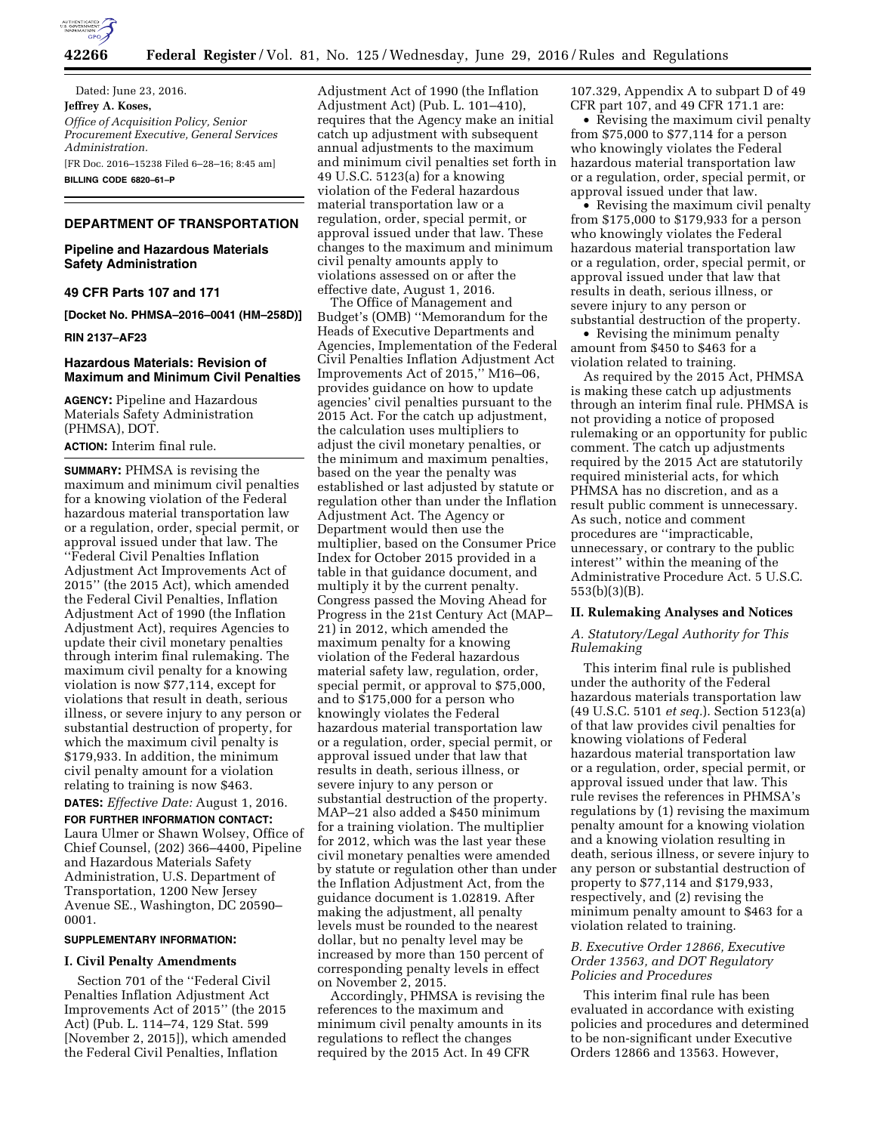

Dated: June 23, 2016. **Jeffrey A. Koses,**  *Office of Acquisition Policy, Senior Procurement Executive, General Services Administration.*  [FR Doc. 2016–15238 Filed 6–28–16; 8:45 am] **BILLING CODE 6820–61–P** 

## **DEPARTMENT OF TRANSPORTATION**

# **Pipeline and Hazardous Materials Safety Administration**

### **49 CFR Parts 107 and 171**

**[Docket No. PHMSA–2016–0041 (HM–258D)]** 

**RIN 2137–AF23** 

# **Hazardous Materials: Revision of Maximum and Minimum Civil Penalties**

**AGENCY:** Pipeline and Hazardous Materials Safety Administration (PHMSA), DOT.

# **ACTION:** Interim final rule.

**SUMMARY:** PHMSA is revising the maximum and minimum civil penalties for a knowing violation of the Federal hazardous material transportation law or a regulation, order, special permit, or approval issued under that law. The ''Federal Civil Penalties Inflation Adjustment Act Improvements Act of 2015'' (the 2015 Act), which amended the Federal Civil Penalties, Inflation Adjustment Act of 1990 (the Inflation Adjustment Act), requires Agencies to update their civil monetary penalties through interim final rulemaking. The maximum civil penalty for a knowing violation is now \$77,114, except for violations that result in death, serious illness, or severe injury to any person or substantial destruction of property, for which the maximum civil penalty is \$179,933. In addition, the minimum civil penalty amount for a violation relating to training is now \$463.

## **DATES:** *Effective Date:* August 1, 2016. **FOR FURTHER INFORMATION CONTACT:**  Laura Ulmer or Shawn Wolsey, Office of Chief Counsel, (202) 366–4400, Pipeline and Hazardous Materials Safety Administration, U.S. Department of Transportation, 1200 New Jersey Avenue SE., Washington, DC 20590– 0001.

### **SUPPLEMENTARY INFORMATION:**

#### **I. Civil Penalty Amendments**

Section 701 of the ''Federal Civil Penalties Inflation Adjustment Act Improvements Act of 2015'' (the 2015 Act) (Pub. L. 114–74, 129 Stat. 599 [November 2, 2015]), which amended the Federal Civil Penalties, Inflation

Adjustment Act of 1990 (the Inflation Adjustment Act) (Pub. L. 101–410), requires that the Agency make an initial catch up adjustment with subsequent annual adjustments to the maximum and minimum civil penalties set forth in 49 U.S.C. 5123(a) for a knowing violation of the Federal hazardous material transportation law or a regulation, order, special permit, or approval issued under that law. These changes to the maximum and minimum civil penalty amounts apply to violations assessed on or after the effective date, August 1, 2016.

The Office of Management and Budget's (OMB) ''Memorandum for the Heads of Executive Departments and Agencies, Implementation of the Federal Civil Penalties Inflation Adjustment Act Improvements Act of 2015,'' M16–06, provides guidance on how to update agencies' civil penalties pursuant to the 2015 Act. For the catch up adjustment, the calculation uses multipliers to adjust the civil monetary penalties, or the minimum and maximum penalties, based on the year the penalty was established or last adjusted by statute or regulation other than under the Inflation Adjustment Act. The Agency or Department would then use the multiplier, based on the Consumer Price Index for October 2015 provided in a table in that guidance document, and multiply it by the current penalty. Congress passed the Moving Ahead for Progress in the 21st Century Act (MAP– 21) in 2012, which amended the maximum penalty for a knowing violation of the Federal hazardous material safety law, regulation, order, special permit, or approval to \$75,000, and to \$175,000 for a person who knowingly violates the Federal hazardous material transportation law or a regulation, order, special permit, or approval issued under that law that results in death, serious illness, or severe injury to any person or substantial destruction of the property. MAP–21 also added a \$450 minimum for a training violation. The multiplier for 2012, which was the last year these civil monetary penalties were amended by statute or regulation other than under the Inflation Adjustment Act, from the guidance document is 1.02819. After making the adjustment, all penalty levels must be rounded to the nearest dollar, but no penalty level may be increased by more than 150 percent of corresponding penalty levels in effect on November 2, 2015.

Accordingly, PHMSA is revising the references to the maximum and minimum civil penalty amounts in its regulations to reflect the changes required by the 2015 Act. In 49 CFR

107.329, Appendix A to subpart D of 49 CFR part 107, and 49 CFR 171.1 are:

• Revising the maximum civil penalty from \$75,000 to \$77,114 for a person who knowingly violates the Federal hazardous material transportation law or a regulation, order, special permit, or approval issued under that law.

• Revising the maximum civil penalty from \$175,000 to \$179,933 for a person who knowingly violates the Federal hazardous material transportation law or a regulation, order, special permit, or approval issued under that law that results in death, serious illness, or severe injury to any person or substantial destruction of the property.

• Revising the minimum penalty amount from \$450 to \$463 for a violation related to training.

As required by the 2015 Act, PHMSA is making these catch up adjustments through an interim final rule. PHMSA is not providing a notice of proposed rulemaking or an opportunity for public comment. The catch up adjustments required by the 2015 Act are statutorily required ministerial acts, for which PHMSA has no discretion, and as a result public comment is unnecessary. As such, notice and comment procedures are ''impracticable, unnecessary, or contrary to the public interest'' within the meaning of the Administrative Procedure Act. 5 U.S.C. 553(b)(3)(B).

### **II. Rulemaking Analyses and Notices**

## *A. Statutory/Legal Authority for This Rulemaking*

This interim final rule is published under the authority of the Federal hazardous materials transportation law (49 U.S.C. 5101 *et seq.*). Section 5123(a) of that law provides civil penalties for knowing violations of Federal hazardous material transportation law or a regulation, order, special permit, or approval issued under that law. This rule revises the references in PHMSA's regulations by (1) revising the maximum penalty amount for a knowing violation and a knowing violation resulting in death, serious illness, or severe injury to any person or substantial destruction of property to \$77,114 and \$179,933, respectively, and (2) revising the minimum penalty amount to \$463 for a violation related to training.

## *B. Executive Order 12866, Executive Order 13563, and DOT Regulatory Policies and Procedures*

This interim final rule has been evaluated in accordance with existing policies and procedures and determined to be non-significant under Executive Orders 12866 and 13563. However,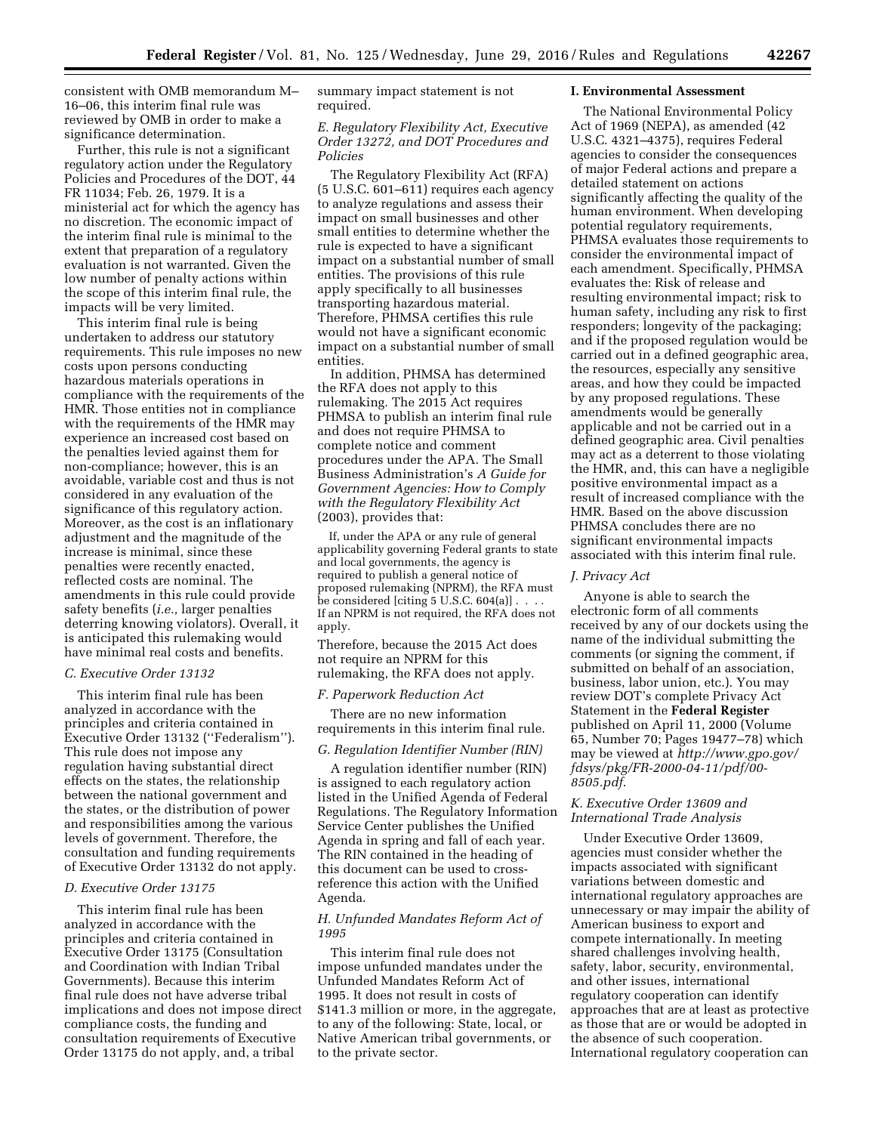consistent with OMB memorandum M– 16–06, this interim final rule was reviewed by OMB in order to make a significance determination.

Further, this rule is not a significant regulatory action under the Regulatory Policies and Procedures of the DOT, 44 FR 11034; Feb. 26, 1979. It is a ministerial act for which the agency has no discretion. The economic impact of the interim final rule is minimal to the extent that preparation of a regulatory evaluation is not warranted. Given the low number of penalty actions within the scope of this interim final rule, the impacts will be very limited.

This interim final rule is being undertaken to address our statutory requirements. This rule imposes no new costs upon persons conducting hazardous materials operations in compliance with the requirements of the HMR. Those entities not in compliance with the requirements of the HMR may experience an increased cost based on the penalties levied against them for non-compliance; however, this is an avoidable, variable cost and thus is not considered in any evaluation of the significance of this regulatory action. Moreover, as the cost is an inflationary adjustment and the magnitude of the increase is minimal, since these penalties were recently enacted, reflected costs are nominal. The amendments in this rule could provide safety benefits (*i.e.,* larger penalties deterring knowing violators). Overall, it is anticipated this rulemaking would have minimal real costs and benefits.

# *C. Executive Order 13132*

This interim final rule has been analyzed in accordance with the principles and criteria contained in Executive Order 13132 (''Federalism''). This rule does not impose any regulation having substantial direct effects on the states, the relationship between the national government and the states, or the distribution of power and responsibilities among the various levels of government. Therefore, the consultation and funding requirements of Executive Order 13132 do not apply.

# *D. Executive Order 13175*

This interim final rule has been analyzed in accordance with the principles and criteria contained in Executive Order 13175 (Consultation and Coordination with Indian Tribal Governments). Because this interim final rule does not have adverse tribal implications and does not impose direct compliance costs, the funding and consultation requirements of Executive Order 13175 do not apply, and, a tribal

summary impact statement is not required.

## *E. Regulatory Flexibility Act, Executive Order 13272, and DOT Procedures and Policies*

The Regulatory Flexibility Act (RFA) (5 U.S.C. 601–611) requires each agency to analyze regulations and assess their impact on small businesses and other small entities to determine whether the rule is expected to have a significant impact on a substantial number of small entities. The provisions of this rule apply specifically to all businesses transporting hazardous material. Therefore, PHMSA certifies this rule would not have a significant economic impact on a substantial number of small entities.

In addition, PHMSA has determined the RFA does not apply to this rulemaking. The 2015 Act requires PHMSA to publish an interim final rule and does not require PHMSA to complete notice and comment procedures under the APA. The Small Business Administration's *A Guide for Government Agencies: How to Comply with the Regulatory Flexibility Act*  (2003), provides that:

If, under the APA or any rule of general applicability governing Federal grants to state and local governments, the agency is required to publish a general notice of proposed rulemaking (NPRM), the RFA must be considered  $\left[$ citing 5 U.S.C. 604 $\left[$ a $\right]$ ]... If an NPRM is not required, the RFA does not apply.

Therefore, because the 2015 Act does not require an NPRM for this rulemaking, the RFA does not apply.

## *F. Paperwork Reduction Act*

There are no new information requirements in this interim final rule.

#### *G. Regulation Identifier Number (RIN)*

A regulation identifier number (RIN) is assigned to each regulatory action listed in the Unified Agenda of Federal Regulations. The Regulatory Information Service Center publishes the Unified Agenda in spring and fall of each year. The RIN contained in the heading of this document can be used to crossreference this action with the Unified Agenda.

## *H. Unfunded Mandates Reform Act of 1995*

This interim final rule does not impose unfunded mandates under the Unfunded Mandates Reform Act of 1995. It does not result in costs of \$141.3 million or more, in the aggregate, to any of the following: State, local, or Native American tribal governments, or to the private sector.

## **I. Environmental Assessment**

The National Environmental Policy Act of 1969 (NEPA), as amended (42 U.S.C. 4321–4375), requires Federal agencies to consider the consequences of major Federal actions and prepare a detailed statement on actions significantly affecting the quality of the human environment. When developing potential regulatory requirements, PHMSA evaluates those requirements to consider the environmental impact of each amendment. Specifically, PHMSA evaluates the: Risk of release and resulting environmental impact; risk to human safety, including any risk to first responders; longevity of the packaging; and if the proposed regulation would be carried out in a defined geographic area, the resources, especially any sensitive areas, and how they could be impacted by any proposed regulations. These amendments would be generally applicable and not be carried out in a defined geographic area. Civil penalties may act as a deterrent to those violating the HMR, and, this can have a negligible positive environmental impact as a result of increased compliance with the HMR. Based on the above discussion PHMSA concludes there are no significant environmental impacts associated with this interim final rule.

#### *J. Privacy Act*

Anyone is able to search the electronic form of all comments received by any of our dockets using the name of the individual submitting the comments (or signing the comment, if submitted on behalf of an association, business, labor union, etc.). You may review DOT's complete Privacy Act Statement in the **Federal Register**  published on April 11, 2000 (Volume 65, Number 70; Pages 19477–78) which may be viewed at *[http://www.gpo.gov/](http://www.gpo.gov/fdsys/pkg/FR-2000-04-11/pdf/00-8505.pdf) [fdsys/pkg/FR-2000-04-11/pdf/00-](http://www.gpo.gov/fdsys/pkg/FR-2000-04-11/pdf/00-8505.pdf)  [8505.pdf](http://www.gpo.gov/fdsys/pkg/FR-2000-04-11/pdf/00-8505.pdf)*.

# *K. Executive Order 13609 and International Trade Analysis*

Under Executive Order 13609, agencies must consider whether the impacts associated with significant variations between domestic and international regulatory approaches are unnecessary or may impair the ability of American business to export and compete internationally. In meeting shared challenges involving health, safety, labor, security, environmental, and other issues, international regulatory cooperation can identify approaches that are at least as protective as those that are or would be adopted in the absence of such cooperation. International regulatory cooperation can